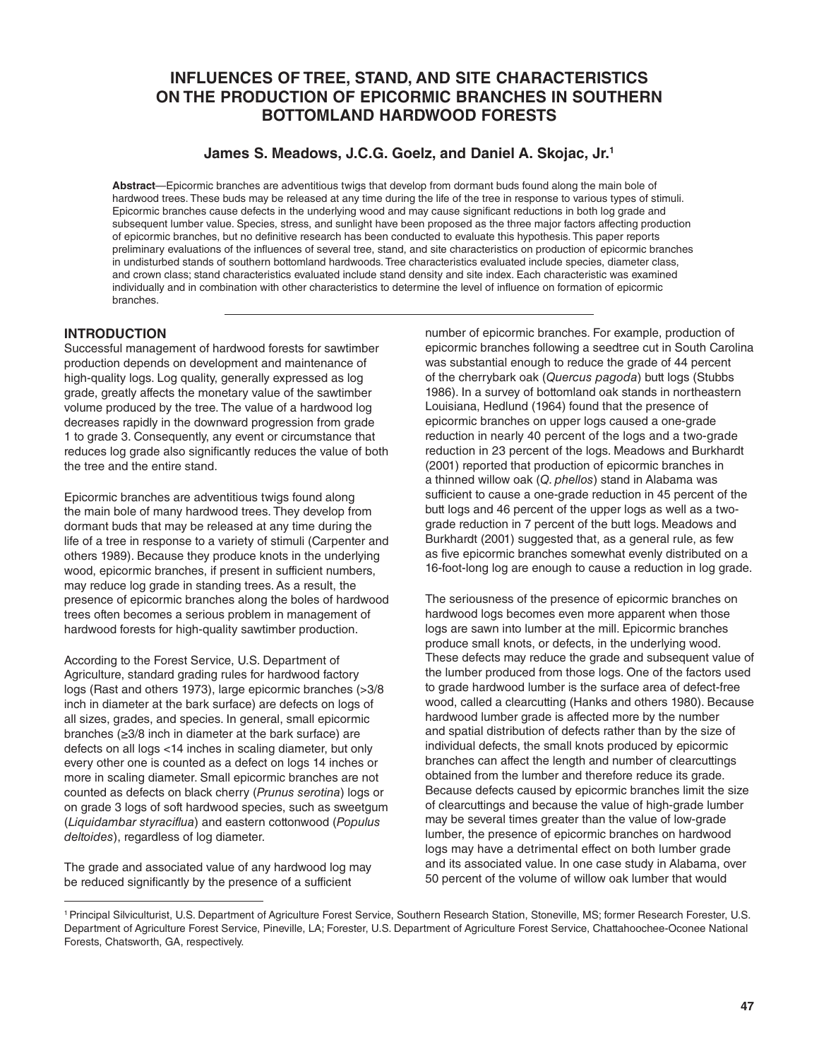# **INFLUENCES OF TREE, STAND, AND SITE CHARACTERISTICS ON THE PRODUCTION OF EPICORMIC BRANCHES IN SOUTHERN BOTTOMLAND HARDWOOD FORESTS**

## **James S. Meadows, J.C.G. Goelz, and Daniel A. Skojac, Jr.1**

**Abstract**—Epicormic branches are adventitious twigs that develop from dormant buds found along the main bole of hardwood trees. These buds may be released at any time during the life of the tree in response to various types of stimuli. Epicormic branches cause defects in the underlying wood and may cause significant reductions in both log grade and subsequent lumber value. Species, stress, and sunlight have been proposed as the three major factors affecting production of epicormic branches, but no definitive research has been conducted to evaluate this hypothesis. This paper reports preliminary evaluations of the influences of several tree, stand, and site characteristics on production of epicormic branches in undisturbed stands of southern bottomland hardwoods. Tree characteristics evaluated include species, diameter class, and crown class; stand characteristics evaluated include stand density and site index. Each characteristic was examined individually and in combination with other characteristics to determine the level of influence on formation of epicormic branches.

### **INTRODUCTION**

Successful management of hardwood forests for sawtimber production depends on development and maintenance of high-quality logs. Log quality, generally expressed as log grade, greatly affects the monetary value of the sawtimber volume produced by the tree. The value of a hardwood log decreases rapidly in the downward progression from grade 1 to grade 3. Consequently, any event or circumstance that reduces log grade also significantly reduces the value of both the tree and the entire stand.

Epicormic branches are adventitious twigs found along the main bole of many hardwood trees. They develop from dormant buds that may be released at any time during the life of a tree in response to a variety of stimuli (Carpenter and others 1989). Because they produce knots in the underlying wood, epicormic branches, if present in sufficient numbers, may reduce log grade in standing trees. As a result, the presence of epicormic branches along the boles of hardwood trees often becomes a serious problem in management of hardwood forests for high-quality sawtimber production.

According to the Forest Service, U.S. Department of Agriculture, standard grading rules for hardwood factory logs (Rast and others 1973), large epicormic branches (>3/8 inch in diameter at the bark surface) are defects on logs of all sizes, grades, and species. In general, small epicormic branches (≥3/8 inch in diameter at the bark surface) are defects on all logs <14 inches in scaling diameter, but only every other one is counted as a defect on logs 14 inches or more in scaling diameter. Small epicormic branches are not counted as defects on black cherry (*Prunus serotina*) logs or on grade 3 logs of soft hardwood species, such as sweetgum (*Liquidambar styraciflua*) and eastern cottonwood (*Populus deltoides*), regardless of log diameter.

The grade and associated value of any hardwood log may be reduced significantly by the presence of a sufficient

number of epicormic branches. For example, production of epicormic branches following a seedtree cut in South Carolina was substantial enough to reduce the grade of 44 percent of the cherrybark oak (*Quercus pagoda*) butt logs (Stubbs 1986). In a survey of bottomland oak stands in northeastern Louisiana, Hedlund (1964) found that the presence of epicormic branches on upper logs caused a one-grade reduction in nearly 40 percent of the logs and a two-grade reduction in 23 percent of the logs. Meadows and Burkhardt (2001) reported that production of epicormic branches in a thinned willow oak (*Q. phellos*) stand in Alabama was sufficient to cause a one-grade reduction in 45 percent of the butt logs and 46 percent of the upper logs as well as a twograde reduction in 7 percent of the butt logs. Meadows and Burkhardt (2001) suggested that, as a general rule, as few as five epicormic branches somewhat evenly distributed on a 16-foot-long log are enough to cause a reduction in log grade.

The seriousness of the presence of epicormic branches on hardwood logs becomes even more apparent when those logs are sawn into lumber at the mill. Epicormic branches produce small knots, or defects, in the underlying wood. These defects may reduce the grade and subsequent value of the lumber produced from those logs. One of the factors used to grade hardwood lumber is the surface area of defect-free wood, called a clearcutting (Hanks and others 1980). Because hardwood lumber grade is affected more by the number and spatial distribution of defects rather than by the size of individual defects, the small knots produced by epicormic branches can affect the length and number of clearcuttings obtained from the lumber and therefore reduce its grade. Because defects caused by epicormic branches limit the size of clearcuttings and because the value of high-grade lumber may be several times greater than the value of low-grade lumber, the presence of epicormic branches on hardwood logs may have a detrimental effect on both lumber grade and its associated value. In one case study in Alabama, over 50 percent of the volume of willow oak lumber that would

<sup>1</sup> Principal Silviculturist, U.S. Department of Agriculture Forest Service, Southern Research Station, Stoneville, MS; former Research Forester, U.S. Department of Agriculture Forest Service, Pineville, LA; Forester, U.S. Department of Agriculture Forest Service, Chattahoochee-Oconee National Forests, Chatsworth, GA, respectively.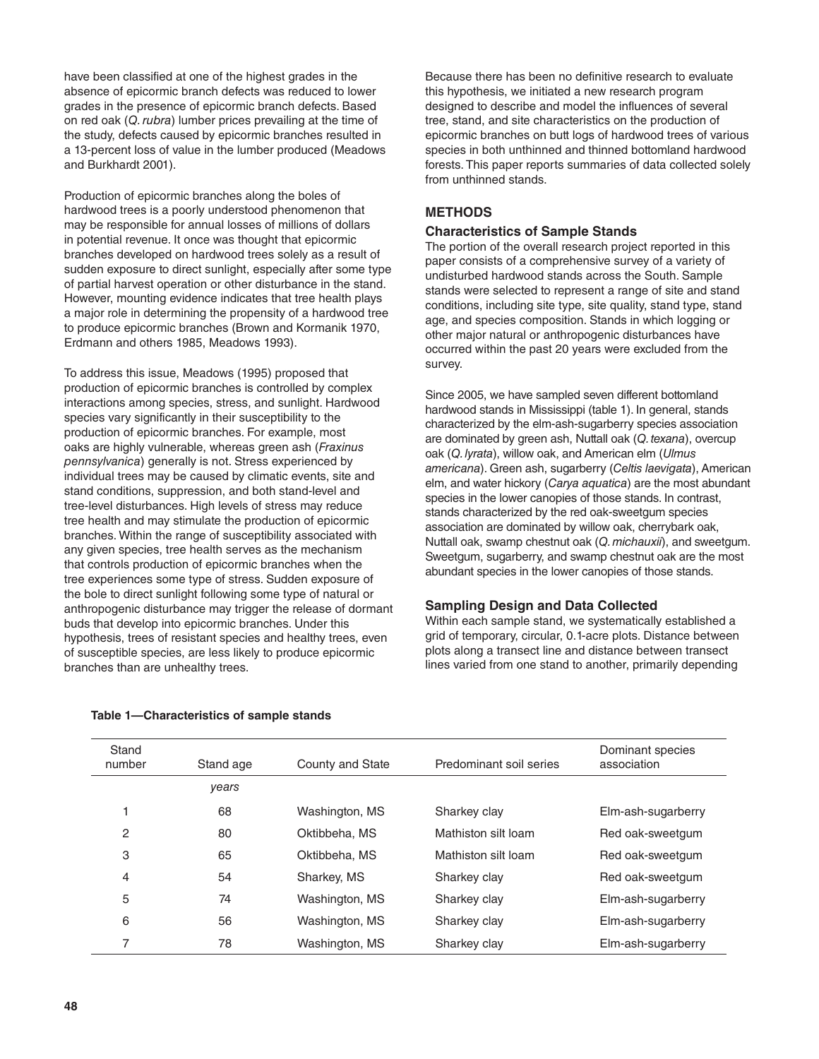have been classified at one of the highest grades in the absence of epicormic branch defects was reduced to lower grades in the presence of epicormic branch defects. Based on red oak (*Q. rubra*) lumber prices prevailing at the time of the study, defects caused by epicormic branches resulted in a 13-percent loss of value in the lumber produced (Meadows and Burkhardt 2001).

Production of epicormic branches along the boles of hardwood trees is a poorly understood phenomenon that may be responsible for annual losses of millions of dollars in potential revenue. It once was thought that epicormic branches developed on hardwood trees solely as a result of sudden exposure to direct sunlight, especially after some type of partial harvest operation or other disturbance in the stand. However, mounting evidence indicates that tree health plays a major role in determining the propensity of a hardwood tree to produce epicormic branches (Brown and Kormanik 1970, Erdmann and others 1985, Meadows 1993).

To address this issue, Meadows (1995) proposed that production of epicormic branches is controlled by complex interactions among species, stress, and sunlight. Hardwood species vary significantly in their susceptibility to the production of epicormic branches. For example, most oaks are highly vulnerable, whereas green ash (*Fraxinus pennsylvanica*) generally is not. Stress experienced by individual trees may be caused by climatic events, site and stand conditions, suppression, and both stand-level and tree-level disturbances. High levels of stress may reduce tree health and may stimulate the production of epicormic branches. Within the range of susceptibility associated with any given species, tree health serves as the mechanism that controls production of epicormic branches when the tree experiences some type of stress. Sudden exposure of the bole to direct sunlight following some type of natural or anthropogenic disturbance may trigger the release of dormant buds that develop into epicormic branches. Under this hypothesis, trees of resistant species and healthy trees, even of susceptible species, are less likely to produce epicormic branches than are unhealthy trees.

Because there has been no definitive research to evaluate this hypothesis, we initiated a new research program designed to describe and model the influences of several tree, stand, and site characteristics on the production of epicormic branches on butt logs of hardwood trees of various species in both unthinned and thinned bottomland hardwood forests. This paper reports summaries of data collected solely from unthinned stands.

## **METHODS**

### **Characteristics of Sample Stands**

The portion of the overall research project reported in this paper consists of a comprehensive survey of a variety of undisturbed hardwood stands across the South. Sample stands were selected to represent a range of site and stand conditions, including site type, site quality, stand type, stand age, and species composition. Stands in which logging or other major natural or anthropogenic disturbances have occurred within the past 20 years were excluded from the survey.

Since 2005, we have sampled seven different bottomland hardwood stands in Mississippi (table 1). In general, stands characterized by the elm-ash-sugarberry species association are dominated by green ash, Nuttall oak (*Q. texana*), overcup oak (*Q. lyrata*), willow oak, and American elm (*Ulmus americana*). Green ash, sugarberry (*Celtis laevigata*), American elm, and water hickory (*Carya aquatica*) are the most abundant species in the lower canopies of those stands. In contrast, stands characterized by the red oak-sweetgum species association are dominated by willow oak, cherrybark oak, Nuttall oak, swamp chestnut oak (*Q. michauxii*), and sweetgum. Sweetgum, sugarberry, and swamp chestnut oak are the most abundant species in the lower canopies of those stands.

### **Sampling Design and Data Collected**

Within each sample stand, we systematically established a grid of temporary, circular, 0.1-acre plots. Distance between plots along a transect line and distance between transect lines varied from one stand to another, primarily depending

| Stand<br>number | Stand age | County and State | Predominant soil series | Dominant species<br>association |
|-----------------|-----------|------------------|-------------------------|---------------------------------|
|                 | years     |                  |                         |                                 |
|                 | 68        | Washington, MS   | Sharkey clay            | Elm-ash-sugarberry              |
| $\overline{c}$  | 80        | Oktibbeha, MS    | Mathiston silt loam     | Red oak-sweetgum                |
| 3               | 65        | Oktibbeha, MS    | Mathiston silt loam     | Red oak-sweetgum                |
| 4               | 54        | Sharkey, MS      | Sharkey clay            | Red oak-sweetgum                |
| 5               | 74        | Washington, MS   | Sharkey clay            | Elm-ash-sugarberry              |
| 6               | 56        | Washington, MS   | Sharkey clay            | Elm-ash-sugarberry              |
| 7               | 78        | Washington, MS   | Sharkey clay            | Elm-ash-sugarberry              |

#### **Table 1—Characteristics of sample stands**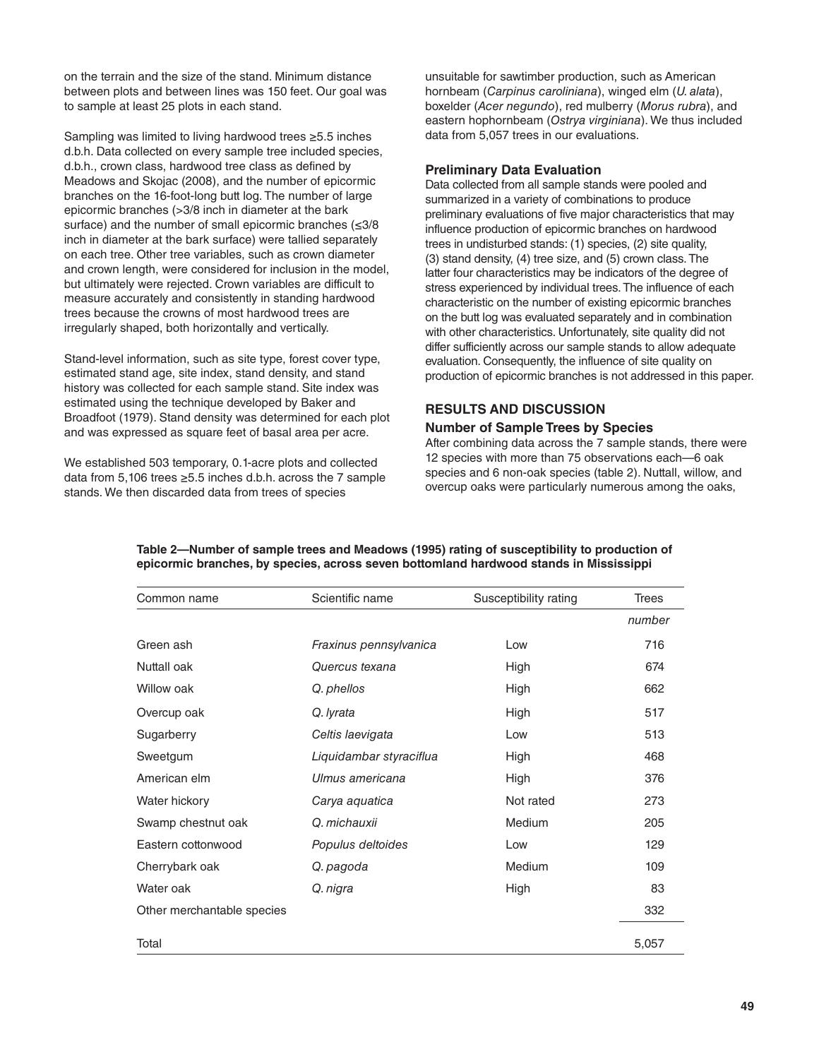on the terrain and the size of the stand. Minimum distance between plots and between lines was 150 feet. Our goal was to sample at least 25 plots in each stand.

Sampling was limited to living hardwood trees ≥5.5 inches d.b.h. Data collected on every sample tree included species, d.b.h., crown class, hardwood tree class as defined by Meadows and Skojac (2008), and the number of epicormic branches on the 16-foot-long butt log. The number of large epicormic branches (>3/8 inch in diameter at the bark surface) and the number of small epicormic branches (≤3/8 inch in diameter at the bark surface) were tallied separately on each tree. Other tree variables, such as crown diameter and crown length, were considered for inclusion in the model, but ultimately were rejected. Crown variables are difficult to measure accurately and consistently in standing hardwood trees because the crowns of most hardwood trees are irregularly shaped, both horizontally and vertically.

Stand-level information, such as site type, forest cover type, estimated stand age, site index, stand density, and stand history was collected for each sample stand. Site index was estimated using the technique developed by Baker and Broadfoot (1979). Stand density was determined for each plot and was expressed as square feet of basal area per acre.

We established 503 temporary, 0.1-acre plots and collected data from 5,106 trees ≥5.5 inches d.b.h. across the 7 sample stands. We then discarded data from trees of species

unsuitable for sawtimber production, such as American hornbeam (*Carpinus caroliniana*), winged elm (*U. alata*), boxelder (*Acer negundo*), red mulberry (*Morus rubra*), and eastern hophornbeam (*Ostrya virginiana*). We thus included data from 5,057 trees in our evaluations.

#### **Preliminary Data Evaluation**

Data collected from all sample stands were pooled and summarized in a variety of combinations to produce preliminary evaluations of five major characteristics that may influence production of epicormic branches on hardwood trees in undisturbed stands: (1) species, (2) site quality, (3) stand density, (4) tree size, and (5) crown class. The latter four characteristics may be indicators of the degree of stress experienced by individual trees. The influence of each characteristic on the number of existing epicormic branches on the butt log was evaluated separately and in combination with other characteristics. Unfortunately, site quality did not differ sufficiently across our sample stands to allow adequate evaluation. Consequently, the influence of site quality on production of epicormic branches is not addressed in this paper.

### **RESULTS AND DISCUSSION**

#### **Number of Sample Trees by Species**

After combining data across the 7 sample stands, there were 12 species with more than 75 observations each—6 oak species and 6 non-oak species (table 2). Nuttall, willow, and overcup oaks were particularly numerous among the oaks,

| Common name                | Scientific name         | Susceptibility rating | <b>Trees</b> |
|----------------------------|-------------------------|-----------------------|--------------|
|                            |                         |                       | number       |
| Green ash                  | Fraxinus pennsylvanica  | Low                   | 716          |
| Nuttall oak                | Quercus texana          | High                  | 674          |
| Willow oak                 | Q. phellos              | High                  | 662          |
| Overcup oak                | Q. lyrata               | High                  | 517          |
| Sugarberry                 | Celtis laevigata        | Low                   | 513          |
| Sweetgum                   | Liquidambar styraciflua | High                  | 468          |
| American elm               | Ulmus americana         | High                  | 376          |
| Water hickory              | Carya aquatica          | Not rated             | 273          |
| Swamp chestnut oak         | O. michauxii            | Medium                | 205          |
| Eastern cottonwood         | Populus deltoides       | Low                   | 129          |
| Cherrybark oak             | Q. pagoda               | Medium                | 109          |
| Water oak                  | Q. nigra                | High                  | 83           |
| Other merchantable species |                         |                       | 332          |
| Total                      |                         |                       | 5,057        |

#### **Table 2—Number of sample trees and Meadows (1995) rating of susceptibility to production of epicormic branches, by species, across seven bottomland hardwood stands in Mississippi**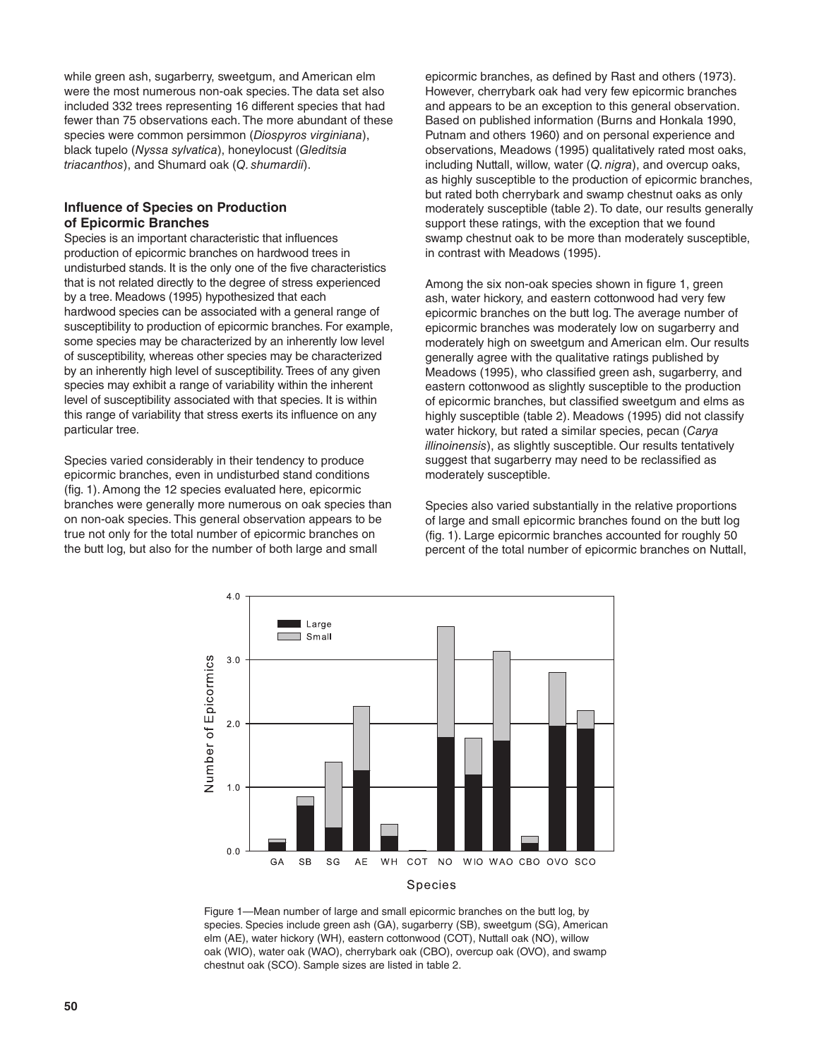while green ash, sugarberry, sweetgum, and American elm were the most numerous non-oak species. The data set also included 332 trees representing 16 different species that had fewer than 75 observations each. The more abundant of these species were common persimmon (*Diospyros virginiana*), black tupelo (*Nyssa sylvatica*), honeylocust (*Gleditsia triacanthos*), and Shumard oak (*Q. shumardii*).

### **Influence of Species on Production of Epicormic Branches**

Species is an important characteristic that influences production of epicormic branches on hardwood trees in undisturbed stands. It is the only one of the five characteristics that is not related directly to the degree of stress experienced by a tree. Meadows (1995) hypothesized that each hardwood species can be associated with a general range of susceptibility to production of epicormic branches. For example, some species may be characterized by an inherently low level of susceptibility, whereas other species may be characterized by an inherently high level of susceptibility. Trees of any given species may exhibit a range of variability within the inherent level of susceptibility associated with that species. It is within this range of variability that stress exerts its influence on any particular tree.

Species varied considerably in their tendency to produce epicormic branches, even in undisturbed stand conditions (fig. 1). Among the 12 species evaluated here, epicormic branches were generally more numerous on oak species than on non-oak species. This general observation appears to be true not only for the total number of epicormic branches on the butt log, but also for the number of both large and small

epicormic branches, as defined by Rast and others (1973). However, cherrybark oak had very few epicormic branches and appears to be an exception to this general observation. Based on published information (Burns and Honkala 1990, Putnam and others 1960) and on personal experience and observations, Meadows (1995) qualitatively rated most oaks, including Nuttall, willow, water (*Q. nigra*), and overcup oaks, as highly susceptible to the production of epicormic branches, but rated both cherrybark and swamp chestnut oaks as only moderately susceptible (table 2). To date, our results generally support these ratings, with the exception that we found swamp chestnut oak to be more than moderately susceptible, in contrast with Meadows (1995).

Among the six non-oak species shown in figure 1, green ash, water hickory, and eastern cottonwood had very few epicormic branches on the butt log. The average number of epicormic branches was moderately low on sugarberry and moderately high on sweetgum and American elm. Our results generally agree with the qualitative ratings published by Meadows (1995), who classified green ash, sugarberry, and eastern cottonwood as slightly susceptible to the production of epicormic branches, but classified sweetgum and elms as highly susceptible (table 2). Meadows (1995) did not classify water hickory, but rated a similar species, pecan (*Carya illinoinensis*), as slightly susceptible. Our results tentatively suggest that sugarberry may need to be reclassified as moderately susceptible.

Species also varied substantially in the relative proportions of large and small epicormic branches found on the butt log (fig. 1). Large epicormic branches accounted for roughly 50 percent of the total number of epicormic branches on Nuttall,



Figure 1—Mean number of large and small epicormic branches on the butt log, by species. Species include green ash (GA), sugarberry (SB), sweetgum (SG), American elm (AE), water hickory (WH), eastern cottonwood (COT), Nuttall oak (NO), willow oak (WIO), water oak (WAO), cherrybark oak (CBO), overcup oak (OVO), and swamp chestnut oak (SCO). Sample sizes are listed in table 2.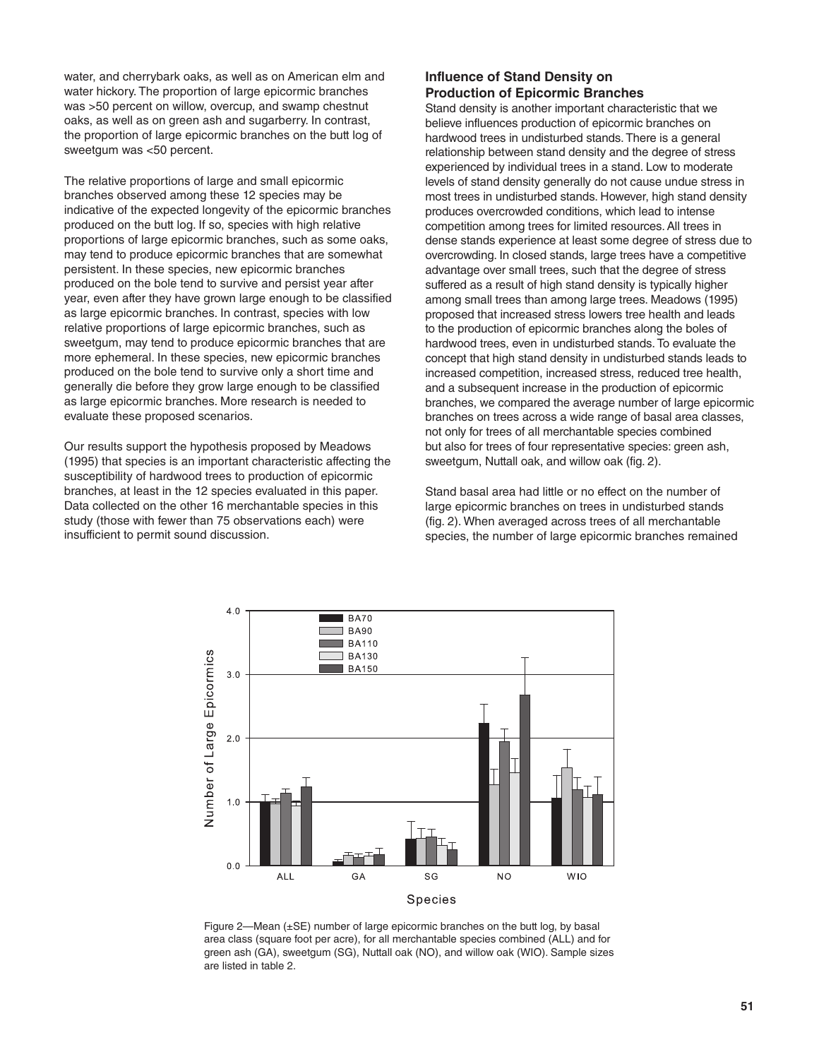water, and cherrybark oaks, as well as on American elm and water hickory. The proportion of large epicormic branches was >50 percent on willow, overcup, and swamp chestnut oaks, as well as on green ash and sugarberry. In contrast, the proportion of large epicormic branches on the butt log of sweetgum was <50 percent.

The relative proportions of large and small epicormic branches observed among these 12 species may be indicative of the expected longevity of the epicormic branches produced on the butt log. If so, species with high relative proportions of large epicormic branches, such as some oaks, may tend to produce epicormic branches that are somewhat persistent. In these species, new epicormic branches produced on the bole tend to survive and persist year after year, even after they have grown large enough to be classified as large epicormic branches. In contrast, species with low relative proportions of large epicormic branches, such as sweetgum, may tend to produce epicormic branches that are more ephemeral. In these species, new epicormic branches produced on the bole tend to survive only a short time and generally die before they grow large enough to be classified as large epicormic branches. More research is needed to evaluate these proposed scenarios.

Our results support the hypothesis proposed by Meadows (1995) that species is an important characteristic affecting the susceptibility of hardwood trees to production of epicormic branches, at least in the 12 species evaluated in this paper. Data collected on the other 16 merchantable species in this study (those with fewer than 75 observations each) were insufficient to permit sound discussion.

### **Influence of Stand Density on Production of Epicormic Branches**

Stand density is another important characteristic that we believe influences production of epicormic branches on hardwood trees in undisturbed stands. There is a general relationship between stand density and the degree of stress experienced by individual trees in a stand. Low to moderate levels of stand density generally do not cause undue stress in most trees in undisturbed stands. However, high stand density produces overcrowded conditions, which lead to intense competition among trees for limited resources. All trees in dense stands experience at least some degree of stress due to overcrowding. In closed stands, large trees have a competitive advantage over small trees, such that the degree of stress suffered as a result of high stand density is typically higher among small trees than among large trees. Meadows (1995) proposed that increased stress lowers tree health and leads to the production of epicormic branches along the boles of hardwood trees, even in undisturbed stands. To evaluate the concept that high stand density in undisturbed stands leads to increased competition, increased stress, reduced tree health, and a subsequent increase in the production of epicormic branches, we compared the average number of large epicormic branches on trees across a wide range of basal area classes, not only for trees of all merchantable species combined but also for trees of four representative species: green ash, sweetgum, Nuttall oak, and willow oak (fig. 2).

Stand basal area had little or no effect on the number of large epicormic branches on trees in undisturbed stands (fig. 2). When averaged across trees of all merchantable species, the number of large epicormic branches remained



Figure 2—Mean (±SE) number of large epicormic branches on the butt log, by basal area class (square foot per acre), for all merchantable species combined (ALL) and for green ash (GA), sweetgum (SG), Nuttall oak (NO), and willow oak (WIO). Sample sizes are listed in table 2.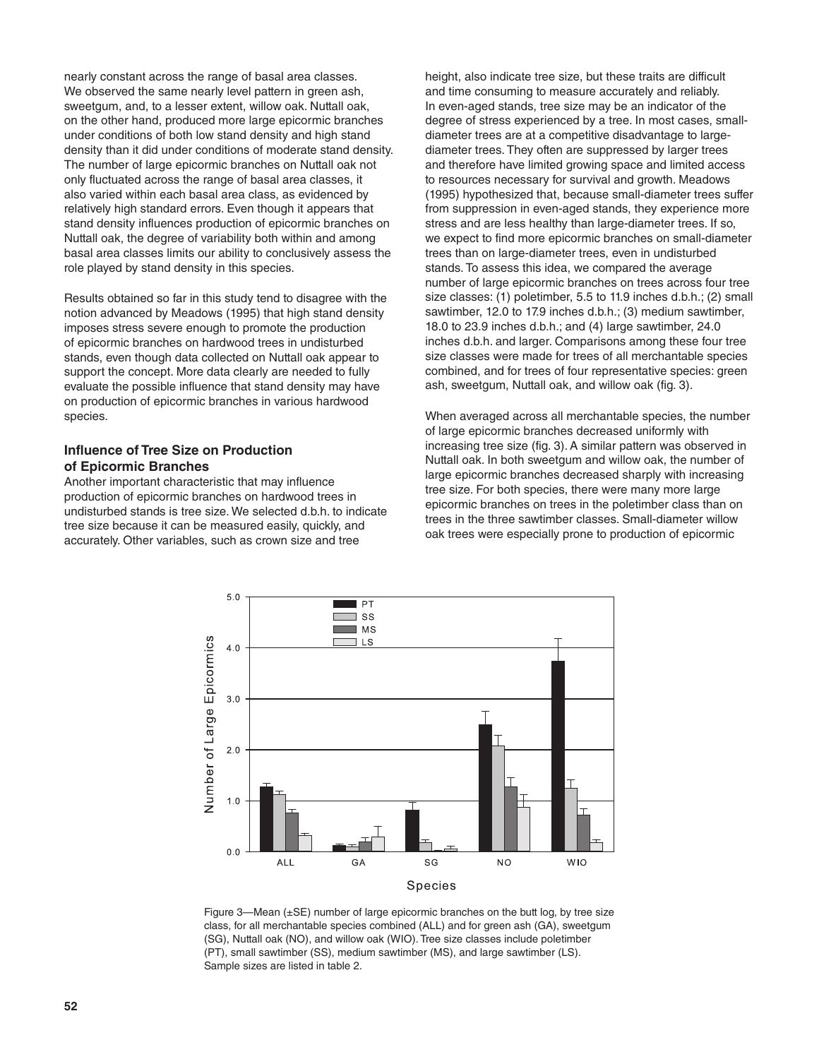nearly constant across the range of basal area classes. We observed the same nearly level pattern in green ash, sweetgum, and, to a lesser extent, willow oak. Nuttall oak, on the other hand, produced more large epicormic branches under conditions of both low stand density and high stand density than it did under conditions of moderate stand density. The number of large epicormic branches on Nuttall oak not only fluctuated across the range of basal area classes, it also varied within each basal area class, as evidenced by relatively high standard errors. Even though it appears that stand density influences production of epicormic branches on Nuttall oak, the degree of variability both within and among basal area classes limits our ability to conclusively assess the role played by stand density in this species.

Results obtained so far in this study tend to disagree with the notion advanced by Meadows (1995) that high stand density imposes stress severe enough to promote the production of epicormic branches on hardwood trees in undisturbed stands, even though data collected on Nuttall oak appear to support the concept. More data clearly are needed to fully evaluate the possible influence that stand density may have on production of epicormic branches in various hardwood species.

#### **Influence of Tree Size on Production of Epicormic Branches**

Another important characteristic that may influence production of epicormic branches on hardwood trees in undisturbed stands is tree size. We selected d.b.h. to indicate tree size because it can be measured easily, quickly, and accurately. Other variables, such as crown size and tree

height, also indicate tree size, but these traits are difficult and time consuming to measure accurately and reliably. In even-aged stands, tree size may be an indicator of the degree of stress experienced by a tree. In most cases, smalldiameter trees are at a competitive disadvantage to largediameter trees. They often are suppressed by larger trees and therefore have limited growing space and limited access to resources necessary for survival and growth. Meadows (1995) hypothesized that, because small-diameter trees suffer from suppression in even-aged stands, they experience more stress and are less healthy than large-diameter trees. If so, we expect to find more epicormic branches on small-diameter trees than on large-diameter trees, even in undisturbed stands. To assess this idea, we compared the average number of large epicormic branches on trees across four tree size classes: (1) poletimber, 5.5 to 11.9 inches d.b.h.; (2) small sawtimber, 12.0 to 17.9 inches d.b.h.; (3) medium sawtimber, 18.0 to 23.9 inches d.b.h.; and (4) large sawtimber, 24.0 inches d.b.h. and larger. Comparisons among these four tree size classes were made for trees of all merchantable species combined, and for trees of four representative species: green ash, sweetgum, Nuttall oak, and willow oak (fig. 3).

When averaged across all merchantable species, the number of large epicormic branches decreased uniformly with increasing tree size (fig. 3). A similar pattern was observed in Nuttall oak. In both sweetgum and willow oak, the number of large epicormic branches decreased sharply with increasing tree size. For both species, there were many more large epicormic branches on trees in the poletimber class than on trees in the three sawtimber classes. Small-diameter willow oak trees were especially prone to production of epicormic



Figure 3—Mean (±SE) number of large epicormic branches on the butt log, by tree size class, for all merchantable species combined (ALL) and for green ash (GA), sweetgum (SG), Nuttall oak (NO), and willow oak (WIO). Tree size classes include poletimber (PT), small sawtimber (SS), medium sawtimber (MS), and large sawtimber (LS). Sample sizes are listed in table 2.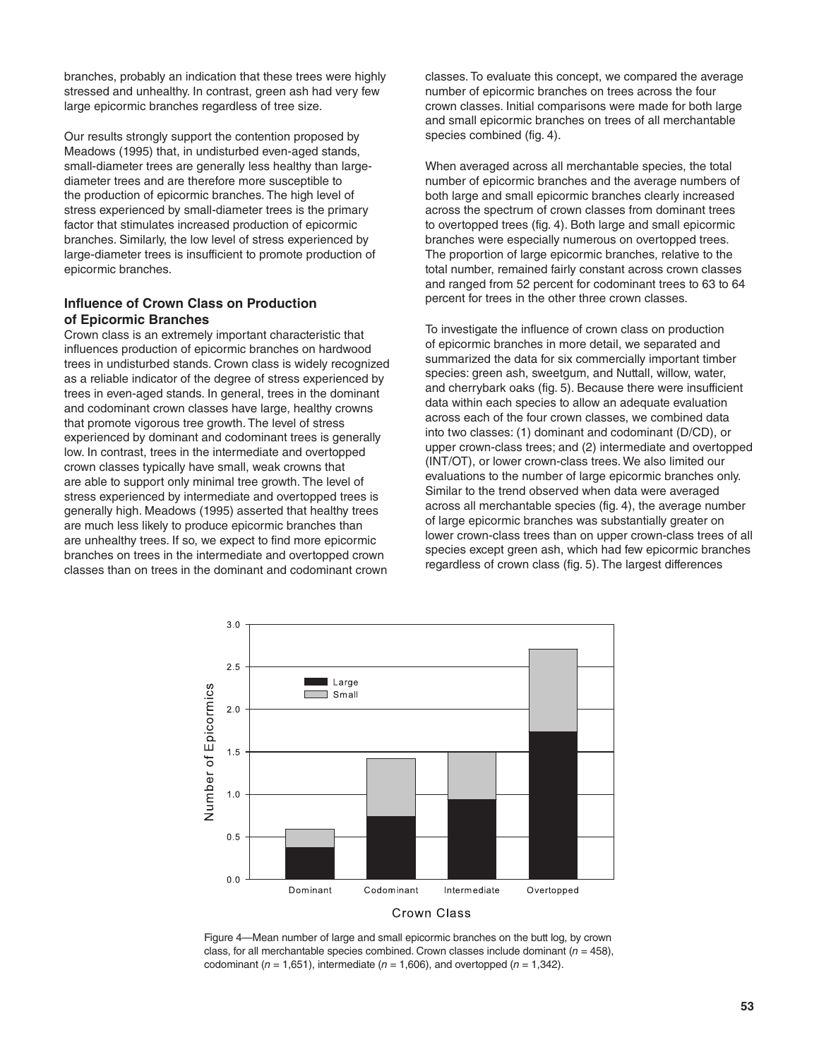branches, probably an indication that these trees were highly stressed and unhealthy. In contrast, green ash had very few large epicormic branches regardless of tree size.

Our results strongly support the contention proposed by Meadows (1995) that, in undisturbed even-aged stands, small-diameter trees are generally less healthy than largediameter trees and are therefore more susceptible to the production of epicormic branches. The high level of stress experienced by small-diameter trees is the primary factor that stimulates increased production of epicormic branches. Similarly, the low level of stress experienced by large-diameter trees is insufficient to promote production of epicormic branches.

#### **Influence of Crown Class on Production of Epicormic Branches**

Crown class is an extremely important characteristic that influences production of epicormic branches on hardwood trees in undisturbed stands. Crown class is widely recognized as a reliable indicator of the degree of stress experienced by trees in even-aged stands. In general, trees in the dominant and codominant crown classes have large, healthy crowns that promote vigorous tree growth. The level of stress experienced by dominant and codominant trees is generally low. In contrast, trees in the intermediate and overtopped crown classes typically have small, weak crowns that are able to support only minimal tree growth. The level of stress experienced by intermediate and overtopped trees is generally high. Meadows (1995) asserted that healthy trees are much less likely to produce epicormic branches than are unhealthy trees. If so, we expect to find more epicormic branches on trees in the intermediate and overtopped crown classes than on trees in the dominant and codominant crown

classes. To evaluate this concept, we compared the average number of epicormic branches on trees across the four crown classes. Initial comparisons were made for both large and small epicormic branches on trees of all merchantable species combined (fig. 4).

When averaged across all merchantable species, the total number of epicormic branches and the average numbers of both large and small epicormic branches clearly increased across the spectrum of crown classes from dominant trees to overtopped trees (fig. 4). Both large and small epicormic branches were especially numerous on overtopped trees. The proportion of large epicormic branches, relative to the total number, remained fairly constant across crown classes and ranged from 52 percent for codominant trees to 63 to 64 percent for trees in the other three crown classes.

To investigate the influence of crown class on production of epicormic branches in more detail, we separated and summarized the data for six commercially important timber species: green ash, sweetgum, and Nuttall, willow, water, and cherrybark oaks (fig. 5). Because there were insufficient data within each species to allow an adequate evaluation across each of the four crown classes, we combined data into two classes: (1) dominant and codominant (D/CD), or upper crown-class trees; and (2) intermediate and overtopped (INT/OT), or lower crown-class trees. We also limited our evaluations to the number of large epicormic branches only. Similar to the trend observed when data were averaged across all merchantable species (fig. 4), the average number of large epicormic branches was substantially greater on lower crown-class trees than on upper crown-class trees of all species except green ash, which had few epicormic branches regardless of crown class (fig. 5). The largest differences



Figure 4—Mean number of large and small epicormic branches on the butt log, by crown class, for all merchantable species combined. Crown classes include dominant  $(n = 458)$ , codominant ( $n = 1,651$ ), intermediate ( $n = 1,606$ ), and overtopped ( $n = 1,342$ ).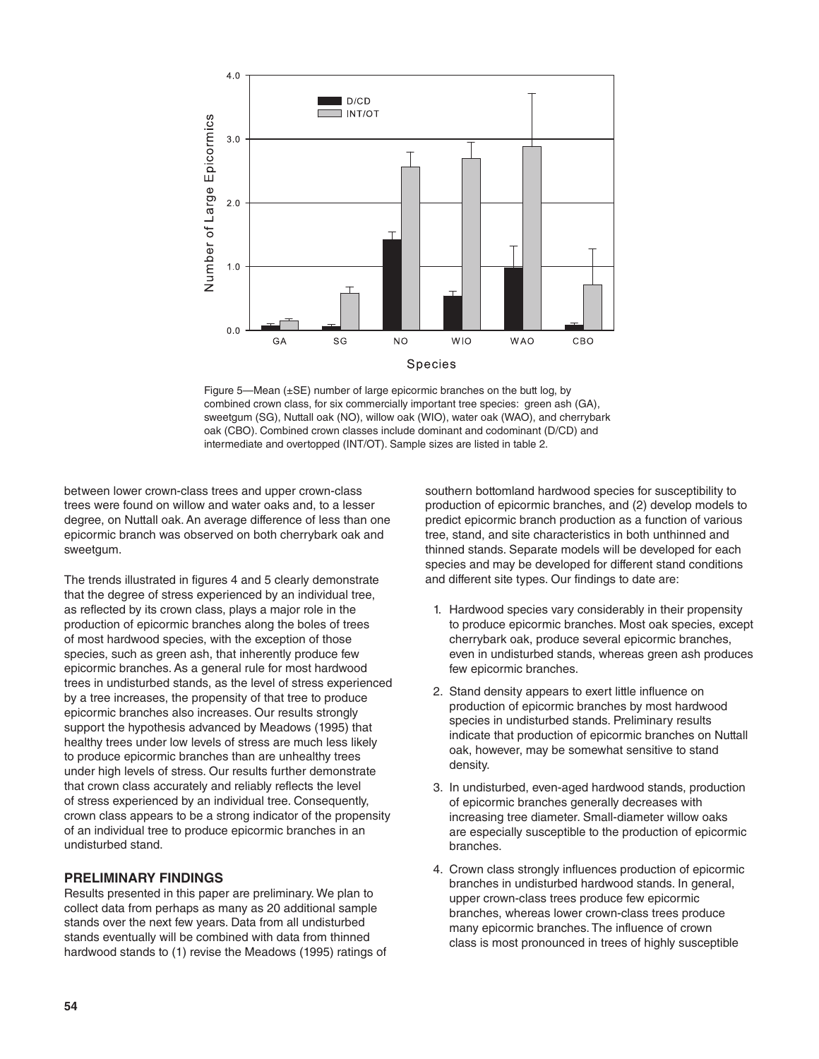

Figure 5—Mean (±SE) number of large epicormic branches on the butt log, by combined crown class, for six commercially important tree species: green ash (GA), sweetgum (SG), Nuttall oak (NO), willow oak (WIO), water oak (WAO), and cherrybark oak (CBO). Combined crown classes include dominant and codominant (D/CD) and intermediate and overtopped (INT/OT). Sample sizes are listed in table 2.

between lower crown-class trees and upper crown-class trees were found on willow and water oaks and, to a lesser degree, on Nuttall oak. An average difference of less than one epicormic branch was observed on both cherrybark oak and sweetgum.

The trends illustrated in figures 4 and 5 clearly demonstrate that the degree of stress experienced by an individual tree, as reflected by its crown class, plays a major role in the production of epicormic branches along the boles of trees of most hardwood species, with the exception of those species, such as green ash, that inherently produce few epicormic branches. As a general rule for most hardwood trees in undisturbed stands, as the level of stress experienced by a tree increases, the propensity of that tree to produce epicormic branches also increases. Our results strongly support the hypothesis advanced by Meadows (1995) that healthy trees under low levels of stress are much less likely to produce epicormic branches than are unhealthy trees under high levels of stress. Our results further demonstrate that crown class accurately and reliably reflects the level of stress experienced by an individual tree. Consequently, crown class appears to be a strong indicator of the propensity of an individual tree to produce epicormic branches in an undisturbed stand.

### **PRELIMINARY FINDINGS**

Results presented in this paper are preliminary. We plan to collect data from perhaps as many as 20 additional sample stands over the next few years. Data from all undisturbed stands eventually will be combined with data from thinned hardwood stands to (1) revise the Meadows (1995) ratings of

southern bottomland hardwood species for susceptibility to production of epicormic branches, and (2) develop models to predict epicormic branch production as a function of various tree, stand, and site characteristics in both unthinned and thinned stands. Separate models will be developed for each species and may be developed for different stand conditions and different site types. Our findings to date are:

- 1. Hardwood species vary considerably in their propensity to produce epicormic branches. Most oak species, except cherrybark oak, produce several epicormic branches, even in undisturbed stands, whereas green ash produces few epicormic branches.
- 2. Stand density appears to exert little influence on production of epicormic branches by most hardwood species in undisturbed stands. Preliminary results indicate that production of epicormic branches on Nuttall oak, however, may be somewhat sensitive to stand density.
- 3. In undisturbed, even-aged hardwood stands, production of epicormic branches generally decreases with increasing tree diameter. Small-diameter willow oaks are especially susceptible to the production of epicormic branches.
- 4. Crown class strongly influences production of epicormic branches in undisturbed hardwood stands. In general, upper crown-class trees produce few epicormic branches, whereas lower crown-class trees produce many epicormic branches. The influence of crown class is most pronounced in trees of highly susceptible